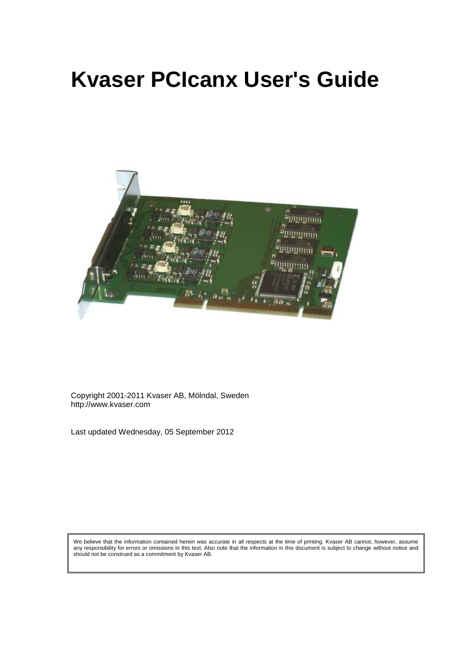# <span id="page-0-0"></span>**Kvaser PCIcanx User's Guide**



Copyright 2001-2011 Kvaser AB, Mölndal, Sweden http://www.kvaser.com

Last updated Wednesday, 05 September 2012

We believe that the information contained herein was accurate in all respects at the time of printing. Kvaser AB cannot, however, assume any responsibility for errors or omissions in this text. Also note that the information in this document is subject to change without notice and should not be construed as a commitment by Kvaser AB.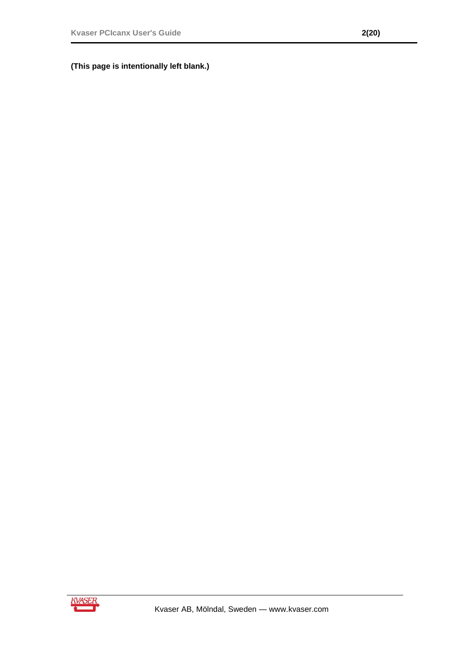**(This page is intentionally left blank.)**

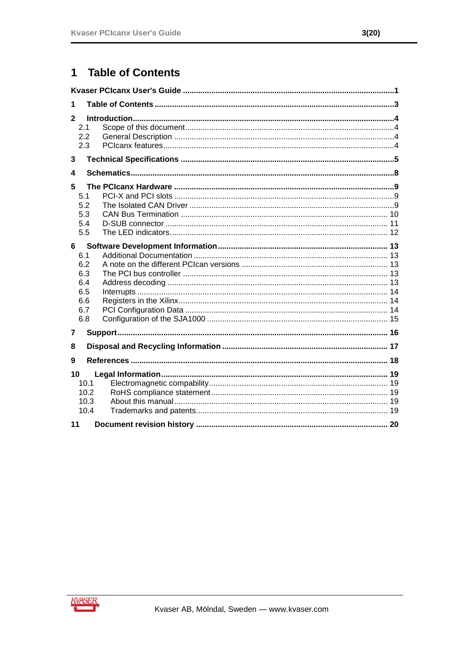#### <span id="page-2-0"></span>**Table of Contents**  $\mathbf 1$

| 1            |                                                      |  |  |  |  |
|--------------|------------------------------------------------------|--|--|--|--|
| $\mathbf{2}$ | 2.1<br>2.2<br>2.3                                    |  |  |  |  |
| 3            |                                                      |  |  |  |  |
| 4            |                                                      |  |  |  |  |
| 5            | 5.1<br>5.2<br>5.3<br>5.4<br>5.5                      |  |  |  |  |
| 6            | 6.1<br>6.2<br>6.3<br>6.4<br>6.5<br>6.6<br>6.7<br>6.8 |  |  |  |  |
| 7            |                                                      |  |  |  |  |
| 8            |                                                      |  |  |  |  |
| 9            |                                                      |  |  |  |  |
| 10           | 10.1<br>10.2<br>10.3<br>10.4                         |  |  |  |  |
| 11           |                                                      |  |  |  |  |

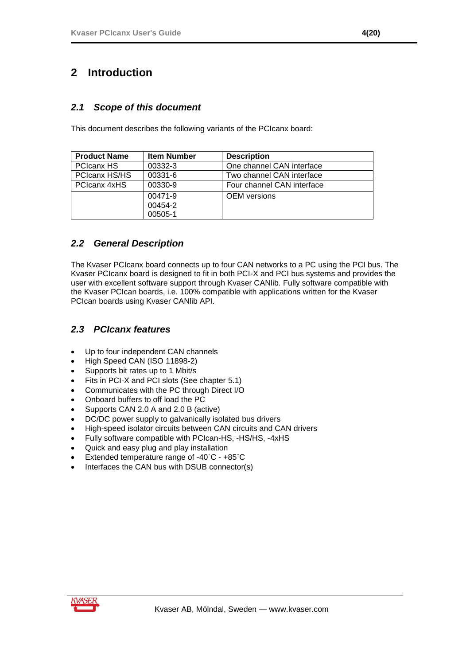## <span id="page-3-0"></span>**2 Introduction**

#### <span id="page-3-1"></span>*2.1 Scope of this document*

This document describes the following variants of the PCIcanx board:

| <b>Product Name</b> | <b>Item Number</b> | <b>Description</b>         |
|---------------------|--------------------|----------------------------|
| <b>PCIcanx HS</b>   | 00332-3            | One channel CAN interface  |
| PCIcanx HS/HS       | 00331-6            | Two channel CAN interface  |
| PCIcanx 4xHS        | 00330-9            | Four channel CAN interface |
|                     | 00471-9            | <b>OEM</b> versions        |
|                     | 00454-2            |                            |
|                     | 00505-1            |                            |

#### <span id="page-3-2"></span>*2.2 General Description*

The Kvaser PCIcanx board connects up to four CAN networks to a PC using the PCI bus. The Kvaser PCIcanx board is designed to fit in both PCI-X and PCI bus systems and provides the user with excellent software support through Kvaser CANlib. Fully software compatible with the Kvaser PCIcan boards, i.e. 100% compatible with applications written for the Kvaser PCIcan boards using Kvaser CANlib API.

#### <span id="page-3-3"></span>*2.3 PCIcanx features*

- Up to four independent CAN channels
- High Speed CAN (ISO 11898-2)
- Supports bit rates up to 1 Mbit/s
- Fits in PCI-X and PCI slots (See chapter [5.1\)](#page-8-1)
- Communicates with the PC through Direct I/O
- Onboard buffers to off load the PC
- Supports CAN 2.0 A and 2.0 B (active)
- DC/DC power supply to galvanically isolated bus drivers
- High-speed isolator circuits between CAN circuits and CAN drivers
- Fully software compatible with PCIcan-HS, -HS/HS, -4xHS
- Quick and easy plug and play installation
- Extended temperature range of -40˚C +85˚C
- Interfaces the CAN bus with DSUB connector(s)

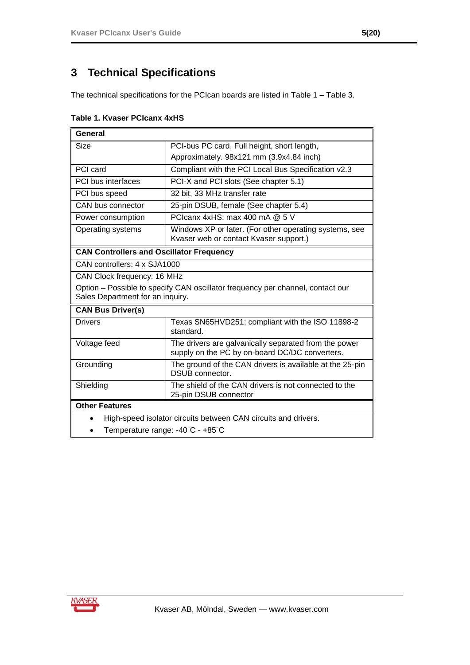## <span id="page-4-0"></span>**3 Technical Specifications**

The technical specifications for the PCIcan boards are listed in [Table 1](#page-4-1) – [Table 3.](#page-6-0)

<span id="page-4-1"></span>

|  |  | <b>Table 1. Kvaser PCIcanx 4xHS</b> |  |
|--|--|-------------------------------------|--|
|--|--|-------------------------------------|--|

| <b>General</b>                                                                                                     |                                                                                                         |  |  |
|--------------------------------------------------------------------------------------------------------------------|---------------------------------------------------------------------------------------------------------|--|--|
| Size                                                                                                               | PCI-bus PC card, Full height, short length,                                                             |  |  |
|                                                                                                                    | Approximately. 98x121 mm (3.9x4.84 inch)                                                                |  |  |
| PCI card                                                                                                           | Compliant with the PCI Local Bus Specification v2.3                                                     |  |  |
| <b>PCI</b> bus interfaces                                                                                          | PCI-X and PCI slots (See chapter 5.1)                                                                   |  |  |
| PCI bus speed                                                                                                      | 32 bit, 33 MHz transfer rate                                                                            |  |  |
| CAN bus connector                                                                                                  | 25-pin DSUB, female (See chapter 5.4)                                                                   |  |  |
| Power consumption                                                                                                  | PCIcanx $4xHS$ : max $400$ mA $@$ 5 V                                                                   |  |  |
| Operating systems                                                                                                  | Windows XP or later. (For other operating systems, see<br>Kvaser web or contact Kvaser support.)        |  |  |
| <b>CAN Controllers and Oscillator Frequency</b>                                                                    |                                                                                                         |  |  |
| CAN controllers: 4 x SJA1000                                                                                       |                                                                                                         |  |  |
| CAN Clock frequency: 16 MHz                                                                                        |                                                                                                         |  |  |
| Option - Possible to specify CAN oscillator frequency per channel, contact our<br>Sales Department for an inquiry. |                                                                                                         |  |  |
| <b>CAN Bus Driver(s)</b>                                                                                           |                                                                                                         |  |  |
| <b>Drivers</b>                                                                                                     | Texas SN65HVD251; compliant with the ISO 11898-2<br>standard.                                           |  |  |
| Voltage feed                                                                                                       | The drivers are galvanically separated from the power<br>supply on the PC by on-board DC/DC converters. |  |  |
| Grounding                                                                                                          | The ground of the CAN drivers is available at the 25-pin<br><b>DSUB</b> connector.                      |  |  |
| Shielding                                                                                                          | The shield of the CAN drivers is not connected to the<br>25-pin DSUB connector                          |  |  |
| <b>Other Features</b>                                                                                              |                                                                                                         |  |  |
| High-speed isolator circuits between CAN circuits and drivers.                                                     |                                                                                                         |  |  |
| Temperature range: -40°C - +85°C                                                                                   |                                                                                                         |  |  |

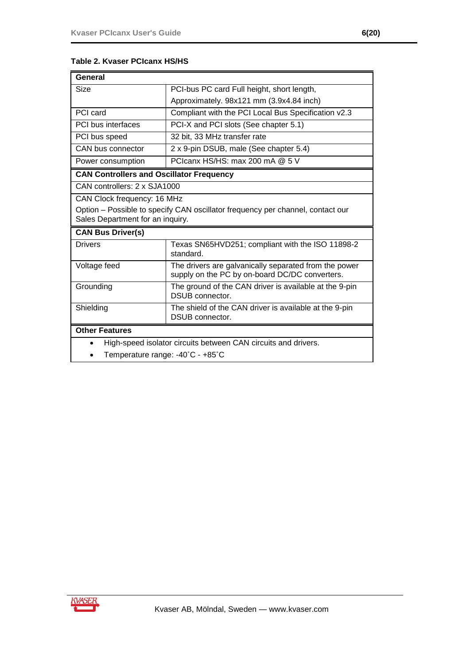#### **Table 2. Kvaser PCIcanx HS/HS**

| General                                                        |                                                                                                         |  |  |
|----------------------------------------------------------------|---------------------------------------------------------------------------------------------------------|--|--|
| <b>Size</b>                                                    | PCI-bus PC card Full height, short length,                                                              |  |  |
|                                                                | Approximately. 98x121 mm (3.9x4.84 inch)                                                                |  |  |
| PCI card                                                       | Compliant with the PCI Local Bus Specification v2.3                                                     |  |  |
| <b>PCI</b> bus interfaces                                      | PCI-X and PCI slots (See chapter 5.1)                                                                   |  |  |
| PCI bus speed                                                  | 32 bit, 33 MHz transfer rate                                                                            |  |  |
| CAN bus connector                                              | 2 x 9-pin DSUB, male (See chapter 5.4)                                                                  |  |  |
| Power consumption                                              | PCIcanx HS/HS: max 200 mA @ 5 V                                                                         |  |  |
| <b>CAN Controllers and Oscillator Frequency</b>                |                                                                                                         |  |  |
| CAN controllers: 2 x SJA1000                                   |                                                                                                         |  |  |
| CAN Clock frequency: 16 MHz                                    |                                                                                                         |  |  |
| Sales Department for an inquiry.                               | Option - Possible to specify CAN oscillator frequency per channel, contact our                          |  |  |
| <b>CAN Bus Driver(s)</b>                                       |                                                                                                         |  |  |
| <b>Drivers</b>                                                 | Texas SN65HVD251; compliant with the ISO 11898-2<br>standard.                                           |  |  |
| Voltage feed                                                   | The drivers are galvanically separated from the power<br>supply on the PC by on-board DC/DC converters. |  |  |
| Grounding                                                      | The ground of the CAN driver is available at the 9-pin<br><b>DSUB</b> connector.                        |  |  |
| Shielding                                                      | The shield of the CAN driver is available at the 9-pin<br><b>DSUB</b> connector.                        |  |  |
| <b>Other Features</b>                                          |                                                                                                         |  |  |
| High-speed isolator circuits between CAN circuits and drivers. |                                                                                                         |  |  |
| Temperature range: -40°C - +85°C                               |                                                                                                         |  |  |

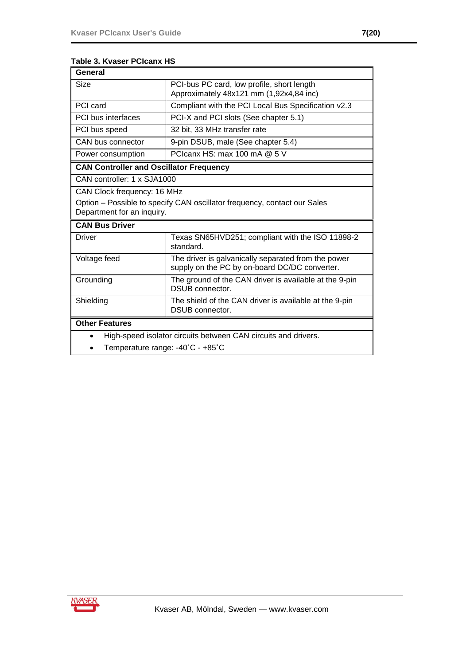#### <span id="page-6-0"></span>**Table 3. Kvaser PCIcanx HS**

| <b>General</b>                                                 |                                                                                                      |  |  |
|----------------------------------------------------------------|------------------------------------------------------------------------------------------------------|--|--|
| Size                                                           | PCI-bus PC card, low profile, short length<br>Approximately 48x121 mm (1,92x4,84 inc)                |  |  |
| <b>PCI</b> card                                                | Compliant with the PCI Local Bus Specification v2.3                                                  |  |  |
| <b>PCI</b> bus interfaces                                      | PCI-X and PCI slots (See chapter 5.1)                                                                |  |  |
| PCI bus speed                                                  | 32 bit, 33 MHz transfer rate                                                                         |  |  |
| CAN bus connector                                              | 9-pin DSUB, male (See chapter 5.4)                                                                   |  |  |
| Power consumption                                              | PCIcanx HS: max 100 mA @ 5 V                                                                         |  |  |
| <b>CAN Controller and Oscillator Frequency</b>                 |                                                                                                      |  |  |
| CAN controller: 1 x SJA1000                                    |                                                                                                      |  |  |
| CAN Clock frequency: 16 MHz                                    |                                                                                                      |  |  |
| Department for an inquiry.                                     | Option - Possible to specify CAN oscillator frequency, contact our Sales                             |  |  |
| <b>CAN Bus Driver</b>                                          |                                                                                                      |  |  |
| <b>Driver</b>                                                  | Texas SN65HVD251; compliant with the ISO 11898-2<br>standard.                                        |  |  |
| Voltage feed                                                   | The driver is galvanically separated from the power<br>supply on the PC by on-board DC/DC converter. |  |  |
| Grounding                                                      | The ground of the CAN driver is available at the 9-pin<br><b>DSUB</b> connector.                     |  |  |
| Shielding                                                      | The shield of the CAN driver is available at the 9-pin<br>DSUB connector.                            |  |  |
| <b>Other Features</b>                                          |                                                                                                      |  |  |
| High-speed isolator circuits between CAN circuits and drivers. |                                                                                                      |  |  |
| Temperature range: -40°C - +85°C                               |                                                                                                      |  |  |

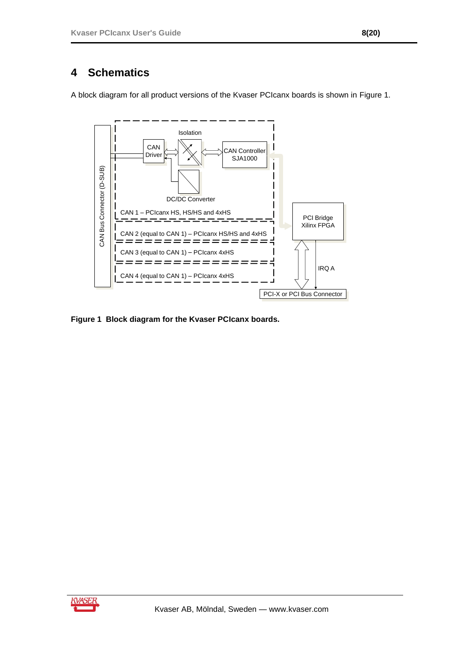## <span id="page-7-0"></span>**4 Schematics**

A block diagram for all product versions of the Kvaser PCIcanx boards is shown in [Figure 1.](#page-7-1)



<span id="page-7-1"></span>**Figure 1 Block diagram for the Kvaser PCIcanx boards.**

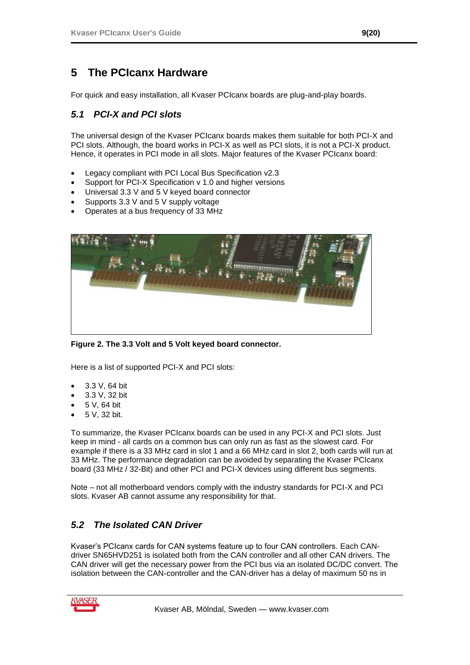## <span id="page-8-0"></span>**5 The PCIcanx Hardware**

For quick and easy installation, all Kvaser PCIcanx boards are plug-and-play boards.

#### <span id="page-8-1"></span>*5.1 PCI-X and PCI slots*

The universal design of the Kvaser PCIcanx boards makes them suitable for both PCI-X and PCI slots. Although, the board works in PCI-X as well as PCI slots, it is not a PCI-X product. Hence, it operates in PCI mode in all slots. Major features of the Kvaser PCIcanx board:

- Legacy compliant with PCI Local Bus Specification v2.3
- Support for PCI-X Specification v 1.0 and higher versions
- Universal 3.3 V and 5 V keyed board connector
- Supports 3.3 V and 5 V supply voltage
- Operates at a bus frequency of 33 MHz



**Figure 2. The 3.3 Volt and 5 Volt keyed board connector.**

Here is a list of supported PCI-X and PCI slots:

- 3.3 V, 64 bit
- 3.3 V, 32 bit
- 5 V, 64 bit
- 5 V, 32 bit.

To summarize, the Kvaser PCIcanx boards can be used in any PCI-X and PCI slots. Just keep in mind - all cards on a common bus can only run as fast as the slowest card. For example if there is a 33 MHz card in slot 1 and a 66 MHz card in slot 2, both cards will run at 33 MHz. The performance degradation can be avoided by separating the Kvaser PCIcanx board (33 MHz / 32-Bit) and other PCI and PCI-X devices using different bus segments.

Note – not all motherboard vendors comply with the industry standards for PCI-X and PCI slots. Kvaser AB cannot assume any responsibility for that.

#### <span id="page-8-2"></span>*5.2 The Isolated CAN Driver*

Kvaser's PCIcanx cards for CAN systems feature up to four CAN controllers. Each CANdriver SN65HVD251 is isolated both from the CAN controller and all other CAN drivers. The CAN driver will get the necessary power from the PCI bus via an isolated DC/DC convert. The isolation between the CAN-controller and the CAN-driver has a delay of maximum 50 ns in

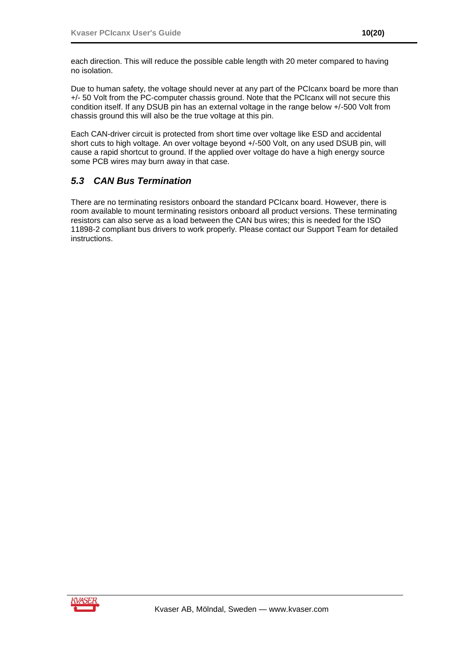each direction. This will reduce the possible cable length with 20 meter compared to having no isolation.

Due to human safety, the voltage should never at any part of the PCIcanx board be more than +/- 50 Volt from the PC-computer chassis ground. Note that the PCIcanx will not secure this condition itself. If any DSUB pin has an external voltage in the range below +/-500 Volt from chassis ground this will also be the true voltage at this pin.

Each CAN-driver circuit is protected from short time over voltage like ESD and accidental short cuts to high voltage. An over voltage beyond +/-500 Volt, on any used DSUB pin, will cause a rapid shortcut to ground. If the applied over voltage do have a high energy source some PCB wires may burn away in that case.

#### <span id="page-9-0"></span>*5.3 CAN Bus Termination*

There are no terminating resistors onboard the standard PCIcanx board. However, there is room available to mount terminating resistors onboard all product versions. These terminating resistors can also serve as a load between the CAN bus wires; this is needed for the ISO 11898-2 compliant bus drivers to work properly. Please contact our Support Team for detailed instructions.

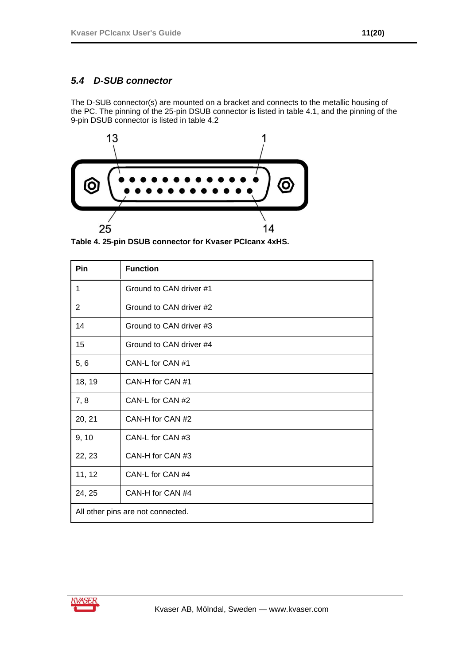### <span id="page-10-0"></span>*5.4 D-SUB connector*

The D-SUB connector(s) are mounted on a bracket and connects to the metallic housing of the PC. The pinning of the 25-pin DSUB connector is listed in table 4.1, and the pinning of the 9-pin DSUB connector is listed in table 4.2



**Table 4. 25-pin DSUB connector for Kvaser PCIcanx 4xHS.** 

| Pin                               | <b>Function</b>         |  |
|-----------------------------------|-------------------------|--|
| 1                                 | Ground to CAN driver #1 |  |
| $\overline{2}$                    | Ground to CAN driver #2 |  |
| 14                                | Ground to CAN driver #3 |  |
| 15                                | Ground to CAN driver #4 |  |
| 5,6                               | CAN-L for CAN #1        |  |
| 18, 19                            | CAN-H for CAN #1        |  |
| 7, 8                              | CAN-L for CAN #2        |  |
| 20, 21                            | CAN-H for CAN #2        |  |
| 9, 10                             | CAN-L for CAN #3        |  |
| 22, 23                            | CAN-H for CAN #3        |  |
| 11, 12                            | CAN-L for CAN #4        |  |
| 24, 25                            | CAN-H for CAN #4        |  |
| All other pins are not connected. |                         |  |

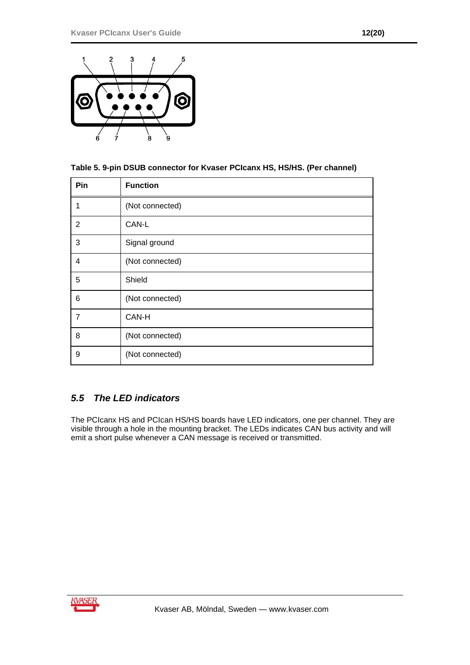| Pin            | <b>Function</b> |
|----------------|-----------------|
| 1              | (Not connected) |
| $\overline{2}$ | CAN-L           |
| 3              | Signal ground   |
| 4              | (Not connected) |
| 5              | Shield          |
| 6              | (Not connected) |
| 7              | CAN-H           |
| 8              | (Not connected) |
| 9              | (Not connected) |

#### **Table 5. 9-pin DSUB connector for Kvaser PCIcanx HS, HS/HS. (Per channel)**

#### <span id="page-11-0"></span>*5.5 The LED indicators*

The PCIcanx HS and PCIcan HS/HS boards have LED indicators, one per channel. They are visible through a hole in the mounting bracket. The LEDs indicates CAN bus activity and will emit a short pulse whenever a CAN message is received or transmitted.

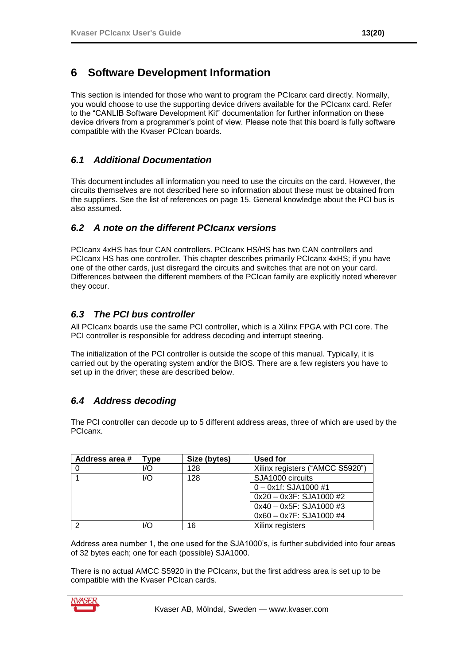## <span id="page-12-0"></span>**6 Software Development Information**

This section is intended for those who want to program the PCIcanx card directly. Normally, you would choose to use the supporting device drivers available for the PCIcanx card. Refer to the "CANLIB Software Development Kit" documentation for further information on these device drivers from a programmer's point of view. Please note that this board is fully software compatible with the Kvaser PCIcan boards.

#### <span id="page-12-1"></span>*6.1 Additional Documentation*

This document includes all information you need to use the circuits on the card. However, the circuits themselves are not described here so information about these must be obtained from the suppliers. See the list of references on page 15. General knowledge about the PCI bus is also assumed.

#### <span id="page-12-2"></span>*6.2 A note on the different PCIcanx versions*

PCIcanx 4xHS has four CAN controllers. PCIcanx HS/HS has two CAN controllers and PCIcanx HS has one controller. This chapter describes primarily PCIcanx 4xHS; if you have one of the other cards, just disregard the circuits and switches that are not on your card. Differences between the different members of the PCIcan family are explicitly noted wherever they occur.

#### <span id="page-12-3"></span>*6.3 The PCI bus controller*

All PCIcanx boards use the same PCI controller, which is a Xilinx FPGA with PCI core. The PCI controller is responsible for address decoding and interrupt steering.

The initialization of the PCI controller is outside the scope of this manual. Typically, it is carried out by the operating system and/or the BIOS. There are a few registers you have to set up in the driver; these are described below.

#### <span id="page-12-4"></span>*6.4 Address decoding*

The PCI controller can decode up to 5 different address areas, three of which are used by the PCIcanx.

| Address area # | Type | Size (bytes) | <b>Used for</b>                 |
|----------------|------|--------------|---------------------------------|
|                | I/O  | 128          | Xilinx registers ("AMCC S5920") |
|                | 1/O  | 128          | SJA1000 circuits                |
|                |      |              | $0 - 0x1f$ : SJA1000 #1         |
|                |      |              | $0x20 - 0x3F$ : SJA1000 #2      |
|                |      |              | $0x40 - 0x5F$ : SJA1000 #3      |
|                |      |              | 0x60 - 0x7F: SJA1000 #4         |
|                | l/O  | 16           | Xilinx registers                |

Address area number 1, the one used for the SJA1000's, is further subdivided into four areas of 32 bytes each; one for each (possible) SJA1000.

There is no actual AMCC S5920 in the PCIcanx, but the first address area is set up to be compatible with the Kvaser PCIcan cards.

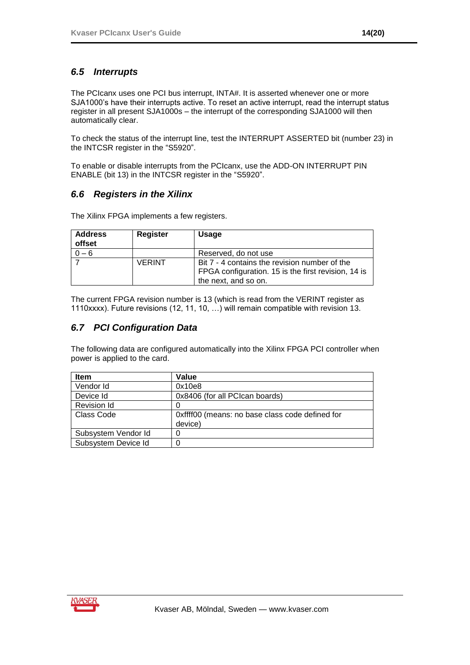#### <span id="page-13-0"></span>*6.5 Interrupts*

The PCIcanx uses one PCI bus interrupt, INTA#. It is asserted whenever one or more SJA1000's have their interrupts active. To reset an active interrupt, read the interrupt status register in all present SJA1000s – the interrupt of the corresponding SJA1000 will then automatically clear.

To check the status of the interrupt line, test the INTERRUPT ASSERTED bit (number 23) in the INTCSR register in the "S5920".

To enable or disable interrupts from the PCIcanx, use the ADD-ON INTERRUPT PIN ENABLE (bit 13) in the INTCSR register in the "S5920".

#### <span id="page-13-1"></span>*6.6 Registers in the Xilinx*

| <b>Address</b><br>offset | <b>Register</b> | <b>Usage</b>                                                                                                                 |
|--------------------------|-----------------|------------------------------------------------------------------------------------------------------------------------------|
| $0 - 6$                  |                 | Reserved, do not use                                                                                                         |
|                          | <b>VERINT</b>   | Bit 7 - 4 contains the revision number of the<br>FPGA configuration. 15 is the first revision, 14 is<br>the next, and so on. |

The Xilinx FPGA implements a few registers.

The current FPGA revision number is 13 (which is read from the VERINT register as 1110xxxx). Future revisions (12, 11, 10, …) will remain compatible with revision 13.

#### <span id="page-13-2"></span>*6.7 PCI Configuration Data*

The following data are configured automatically into the Xilinx FPGA PCI controller when power is applied to the card.

| <b>Item</b>         | Value                                                      |
|---------------------|------------------------------------------------------------|
| Vendor Id           | 0x10e8                                                     |
| Device Id           | 0x8406 (for all PCIcan boards)                             |
| Revision Id         |                                                            |
| Class Code          | 0xffff00 (means: no base class code defined for<br>device) |
| Subsystem Vendor Id | O                                                          |
| Subsystem Device Id |                                                            |

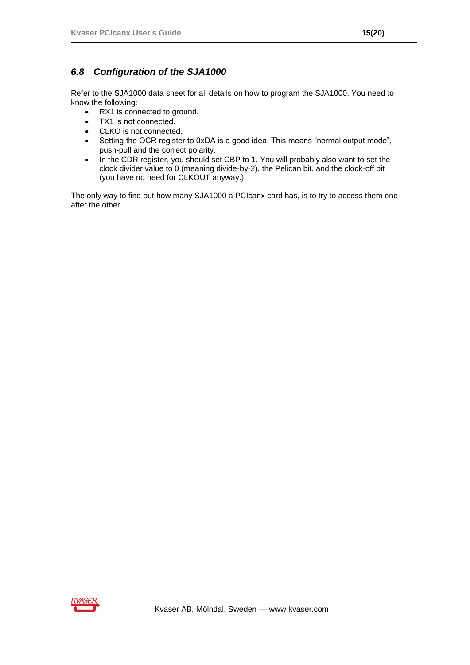#### <span id="page-14-0"></span>*6.8 Configuration of the SJA1000*

Refer to the SJA1000 data sheet for all details on how to program the SJA1000. You need to know the following:

- RX1 is connected to ground.
- TX1 is not connected.
- CLKO is not connected.
- Setting the OCR register to 0xDA is a good idea. This means "normal output mode", push-pull and the correct polarity.
- In the CDR register, you should set CBP to 1. You will probably also want to set the clock divider value to 0 (meaning divide-by-2), the Pelican bit, and the clock-off bit (you have no need for CLKOUT anyway.)

The only way to find out how many SJA1000 a PCIcanx card has, is to try to access them one after the other.

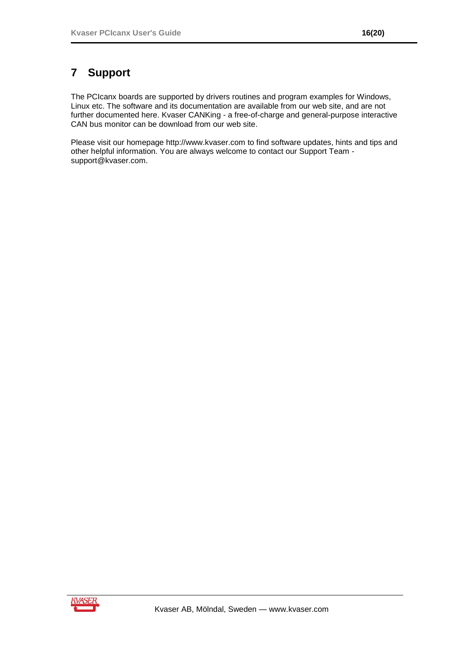## <span id="page-15-0"></span>**7 Support**

The PCIcanx boards are supported by drivers routines and program examples for Windows, Linux etc. The software and its documentation are available from our web site, and are not further documented here. Kvaser CANKing - a free-of-charge and general-purpose interactive CAN bus monitor can be download from our web site.

Please visit our homepage http://www.kvaser.com to find software updates, hints and tips and other helpful information. You are always welcome to contact our Support Team support@kvaser.com.

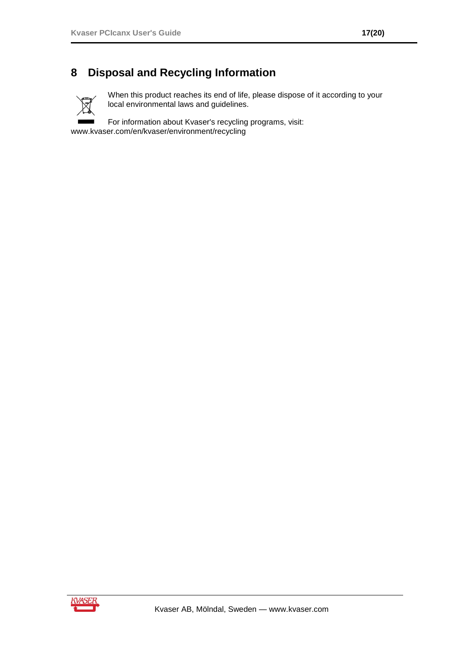## <span id="page-16-0"></span>**8 Disposal and Recycling Information**



When this product reaches its end of life, please dispose of it according to your local environmental laws and guidelines.

For information about Kvaser's recycling programs, visit: www.kvaser.com/en/kvaser/environment/recycling

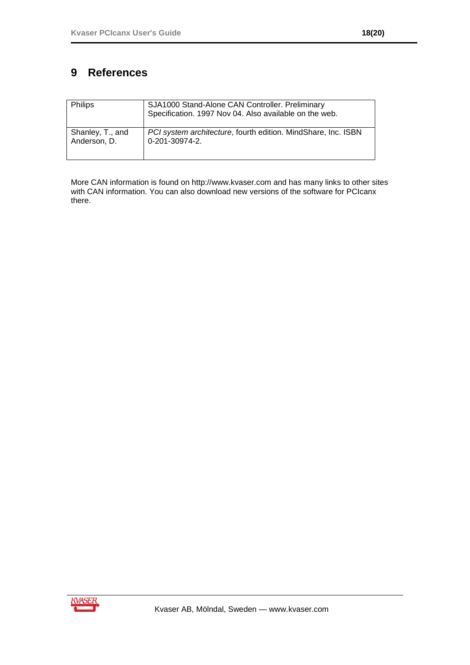## <span id="page-17-0"></span>**9 References**

| <b>Philips</b>   | SJA1000 Stand-Alone CAN Controller. Preliminary<br>Specification. 1997 Nov 04. Also available on the web. |
|------------------|-----------------------------------------------------------------------------------------------------------|
| Shanley, T., and | PCI system architecture, fourth edition. MindShare, Inc. ISBN                                             |
| Anderson, D.     | 0-201-30974-2.                                                                                            |

More CAN information is found on http://www.kvaser.com and has many links to other sites with CAN information. You can also download new versions of the software for PCIcanx there.

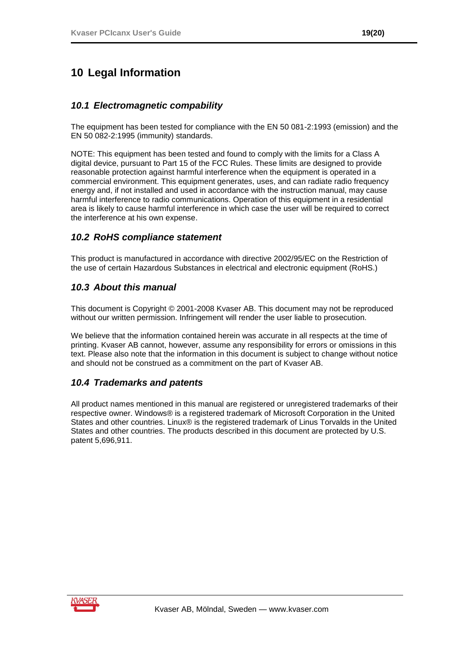## <span id="page-18-0"></span>**10 Legal Information**

#### <span id="page-18-1"></span>*10.1 Electromagnetic compability*

The equipment has been tested for compliance with the EN 50 081-2:1993 (emission) and the EN 50 082-2:1995 (immunity) standards.

NOTE: This equipment has been tested and found to comply with the limits for a Class A digital device, pursuant to Part 15 of the FCC Rules. These limits are designed to provide reasonable protection against harmful interference when the equipment is operated in a commercial environment. This equipment generates, uses, and can radiate radio frequency energy and, if not installed and used in accordance with the instruction manual, may cause harmful interference to radio communications. Operation of this equipment in a residential area is likely to cause harmful interference in which case the user will be required to correct the interference at his own expense.

#### <span id="page-18-2"></span>*10.2 RoHS compliance statement*

This product is manufactured in accordance with directive 2002/95/EC on the Restriction of the use of certain Hazardous Substances in electrical and electronic equipment (RoHS.)

#### <span id="page-18-3"></span>*10.3 About this manual*

This document is Copyright © 2001-2008 Kvaser AB. This document may not be reproduced without our written permission. Infringement will render the user liable to prosecution.

We believe that the information contained herein was accurate in all respects at the time of printing. Kvaser AB cannot, however, assume any responsibility for errors or omissions in this text. Please also note that the information in this document is subject to change without notice and should not be construed as a commitment on the part of Kvaser AB.

#### <span id="page-18-4"></span>*10.4 Trademarks and patents*

All product names mentioned in this manual are registered or unregistered trademarks of their respective owner. Windows® is a registered trademark of Microsoft Corporation in the United States and other countries. Linux® is the registered trademark of Linus Torvalds in the United States and other countries. The products described in this document are protected by U.S. patent 5,696,911.